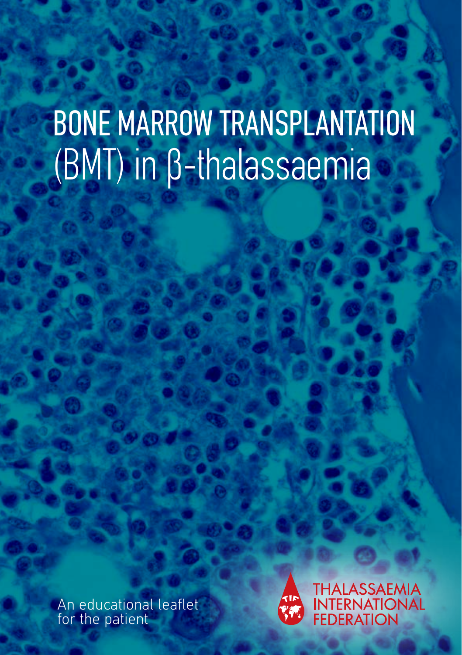# BONE MARROW TRANSPLANTATION (BMT) in β-thalassaemia

An educational leaflet for the patient



**THALASSAEMIA** INTERNATIONAL<br>FEDERATION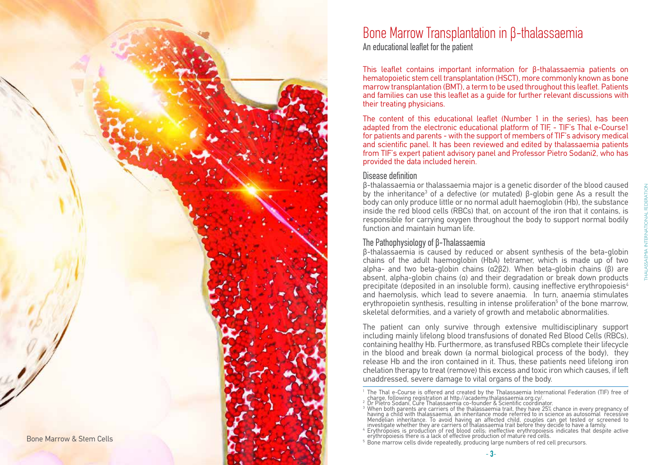

### Bone Marrow Transplantation in β-thalassaemia

An educational leaflet for the patient

This leaflet contains important information for β-thalassaemia patients on hematopoietic stem cell transplantation (HSCT), more commonly known as bone marrow transplantation (BMT), a term to be used throughout this leaflet. Patients and families can use this leaflet as a guide for further relevant discussions with their treating physicians.

The content of this educational leaflet (Number 1 in the series), has been adapted from the electronic educational platform of TIF. - TIF's Thal e-Course1 for patients and parents - with the support of members of TIF's advisory medical and scientific panel. It has been reviewed and edited by thalassaemia patients from TIF's expert patient advisory panel and Professor Pietro Sodani2, who has provided the data included herein.

#### Disease definition

β-thalassaemia or thalassaemia major is a genetic disorder of the blood caused by the inheritance<sup>3</sup> of a defective (or mutated) β-globin gene As a result the body can only produce little or no normal adult haemoglobin (Hb), the substance inside the red blood cells (RBCs) that, on account of the iron that it contains, is responsible for carrying oxygen throughout the body to support normal bodily function and maintain human life.

### The Pathophysiology of β-Thalassaemia

β-thalassaemia is caused by reduced or absent synthesis of the beta-globin chains of the adult haemoglobin (HbA) tetramer, which is made up of two alpha- and two beta-globin chains (α2β2). When beta-globin chains (β) are absent, alpha-globin chains (α) and their degradation or break down products precipitate (deposited in an insoluble form), causing ineffective erythropoiesis<sup>4</sup> and haemolysis, which lead to severe anaemia. In turn, anaemia stimulates erythropoietin synthesis, resulting in intense proliferation 5 of the bone marrow, skeletal deformities, and a variety of growth and metabolic abnormalities.

The patient can only survive through extensive multidisciplinary support including mainly lifelong blood transfusions of donated Red Blood Cells (RBCs), containing healthy Hb. Furthermore, as transfused RBCs complete their lifecycle in the blood and break down (a normal biological process of the body), they release Hb and the iron contained in it. Thus, these patients need lifelong iron chelation therapy to treat (remove) this excess and toxic iron which causes, if left unaddressed, severe damage to vital organs of the body.

- 
- 
- 
- 

- 3 -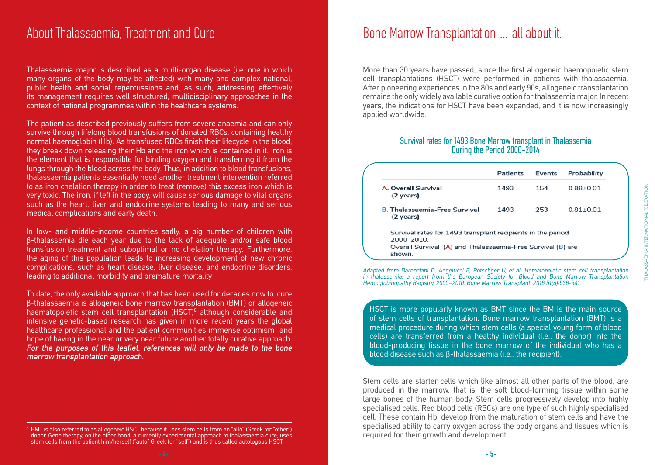### About Thalassaemia, Treatment and Cure

Thalassaemia major is described as a multi-organ disease (i.e. one in which many organs of the body may be affected) with many and complex national, public health and social repercussions and, as such, addressing effectively its management requires well structured, multidisciplinary approaches in the context of national programmes within the healthcare systems.

The patient as described previously suffers from severe anaemia and can only survive through lifelong blood transfusions of donated RBCs, containing healthy normal haemoglobin (Hb). As transfused RBCs finish their lifecycle in the blood, they break down releasing their Hb and the iron which is contained in it. Iron is the element that is responsible for binding oxygen and transferring it from the lungs through the blood across the body. Thus, in addition to blood transfusions, thalassaemia patients essentially need another treatment intervention referred to as iron chelation therapy in order to treat (remove) this excess iron which is very toxic. The iron, if left in the body, will cause serious damage to vital organs such as the heart, liver and endocrine systems leading to many and serious medical complications and early death.

In low- and middle-income countries sadly, a big number of children with β-thalassemia die each year due to the lack of adequate and/or safe blood transfusion treatment and suboptimal or no chelation therapy. Furthermore, the aging of this population leads to increasing development of new chronic complications, such as heart disease, liver disease, and endocrine disorders, leading to additional morbidity and premature mortality

To date, the only available approach that has been used for decades now to cure β-thalassaemia is allogeneic bone marrow transplantation (BMT) or allogeneic haematopoietic stem cell transplantation (HSCT)<sup>6</sup> although considerable and intensive genetic-based research has given in more recent years the global healthcare professional and the patient communities immense optimism and hope of having in the near or very near future another totally curative approach. For the purposes of this leaflet, references will only be made to the bone marrow transplantation approach.

### Bone Marrow Transplantation … all about it.

More than 30 years have passed, since the first allogeneic haemopoietic stem cell transplantations (HSCT) were performed in patients with thalassaemia. After pioneering experiences in the 80s and early 90s, allogeneic transplantation remains the only widely available curative option for thalassemia major. In recent years, the indications for HSCT have been expanded, and it is now increasingly applied worldwide.

## Survival rates for 1493 Bone Marrow transplant in Thalassemia During the Period 2000-2014

|                                                                                                                                                   | <b>Patients</b> | <b>Events</b> | Probability   |
|---------------------------------------------------------------------------------------------------------------------------------------------------|-----------------|---------------|---------------|
| <b>A. Overall Survival</b><br>(2 years)                                                                                                           | 1493            | 154           | $0.88 + 0.01$ |
| <b>B. Thalassaemia-Free Survival</b><br>(2 years)                                                                                                 | 1493            | 253           | $0.81 + 0.01$ |
| Survival rates for 1493 transplant recipients in the period<br>2000-2010<br>Overall Survival (A) and Thalassaemia-Free Survival (B) are<br>shown. |                 |               |               |

Adapted from Baronciani D, Angelucci E, Potschger U, et al. Hematopoietic stem cell transplantation in thalassemia: a report from the European Society for Blood and Bone Marrow Transplantation Hemoglobinopathy Registry, 2000–2010. Bone Marrow Transplant. 2016;51(4):536-541.

HSCT is more popularly known as BMT since the BM is the main source of stem cells of transplantation. Bone marrow transplantation (BMT) is a medical procedure during which stem cells (a special young form of blood cells) are transferred from a healthy individual (i.e., the donor) into the blood-producing tissue in the bone marrow of the individual who has a blood disease such as β-thalassaemia (i.e., the recipient).

Stem cells are starter cells which like almost all other parts of the blood, are produced in the marrow, that is, the soft blood-forming tissue within some large bones of the human body. Stem cells progressively develop into highly specialised cells. Red blood cells (RBCs) are one type of such highly specialised cell. These contain Hb, develop from the maturation of stem cells and have the specialised ability to carry oxygen across the body organs and tissues which is required for their growth and development.

<sup>6</sup> BMT is also referred to as allogeneic HSCT because it uses stem cells from an "allo" (Greek for "other") donor. Gene therapy, on the other hand, a currently experimental approach to thalassaemia cure, uses stem cells from the patient him/herself ("auto" Greek for "self") and is thus called autologous HSCT.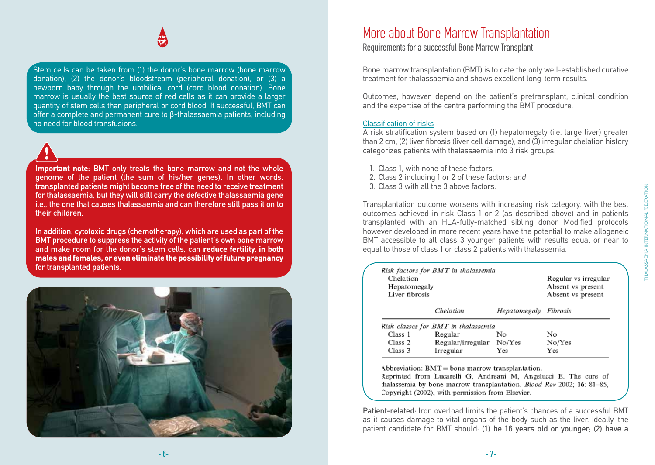Stem cells can be taken from (1) the donor's bone marrow (bone marrow) donation); (2) the donor's bloodstream (peripheral donation); or (3) a newborn baby through the umbilical cord (cord blood donation). Bone marrow is usually the best source of red cells as it can provide a larger quantity of stem cells than peripheral or cord blood. If successful, BMT can offer a complete and permanent cure to β-thalassaemia patients, including no need for blood transfusions.

**Important note:** BMT only treats the bone marrow and not the whole genome of the patient (the sum of his/her genes). In other words, transplanted patients might become free of the need to receive treatment for thalassaemia, but they will still carry the defective thalassaemia gene i.e., the one that causes thalassaemia and can therefore still pass it on to their children.

In addition, cytotoxic drugs (chemotherapy), which are used as part of the BMT procedure to suppress the activity of the patient's own bone marrow and make room for the donor's stem cells, can **reduce fertility, in both males and females, or even eliminate the possibility of future pregnancy** for transplanted patients.



### More about Bone Marrow Transplantation

Requirements for a successful Bone Marrow Transplant

Bone marrow transplantation (BMT) is to date the only well-established curative treatment for thalassaemia and shows excellent long-term results.

Outcomes, however, depend on the patient's pretransplant, clinical condition and the expertise of the centre performing the BMT procedure.

#### Classification of risks

A risk stratification system based on (1) hepatomegaly (i.e. large liver) greater than 2 cm, (2) liver fibrosis (liver cell damage), and (3) irregular chelation history categorizes patients with thalassaemia into 3 risk groups:

- 1. Class 1, with none of these factors;
- 2. Class 2 including 1 or 2 of these factors; and
- 3. Class 3 with all the 3 above factors.

Transplantation outcome worsens with increasing risk category, with the best outcomes achieved in risk Class 1 or 2 (as described above) and in patients transplanted with an HLA-fully-matched sibling donor. Modified protocols however developed in more recent years have the potential to make allogeneic BMT accessible to all class 3 younger patients with results equal or near to equal to those of class 1 or class 2 patients with thalassemia.

| Risk factors for BMT in thalassemia<br>Chelation<br>Hepatomegaly<br>Liver fibrosis |                                     |                       | Regular vs irregular<br>Absent vs present<br>Absent vs present |
|------------------------------------------------------------------------------------|-------------------------------------|-----------------------|----------------------------------------------------------------|
|                                                                                    | Chelation                           | Hepatomegaly Fibrosis |                                                                |
|                                                                                    | Risk classes for BMT in thalassemia |                       |                                                                |
| Class 1                                                                            | Regular                             | No                    | No                                                             |
| Class 2                                                                            | Regular/irregular                   | No/Yes                | No/Yes                                                         |
| Class 3                                                                            | Irregular                           | Yes                   | Yes                                                            |

Abbreviation:  $BMT =$  bone marrow transplantation.

Reprinted from Lucarelli G. Andreani M. Angelucci E. The cure of halassemia by bone marrow transplantation. Blood Rev 2002; 16: 81-85, Copyright (2002), with permission from Elsevier.

Patient-related: Iron overload limits the patient's chances of a successful BMT as it causes damage to vital organs of the body such as the liver. Ideally, the patient candidate for BMT should: (1) be 16 years old or younger; (2) have a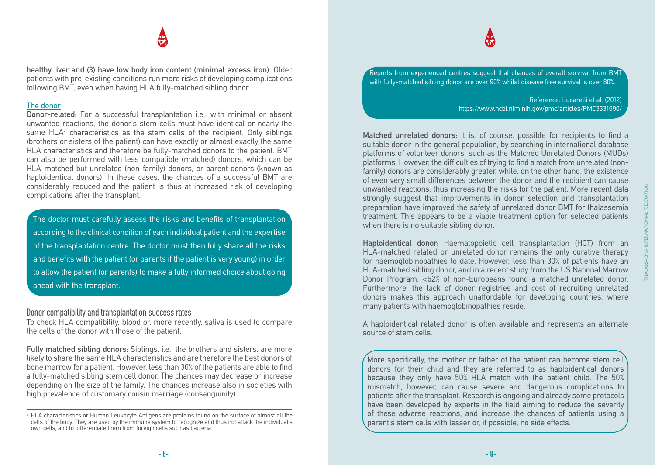healthy liver and (3) have low body iron content (minimal excess iron). Older patients with pre-existing conditions run more risks of developing complications following BMT, even when having HLA fully-matched sibling donor.

#### The donor

Donor-related: For a successful transplantation i.e., with minimal or absent unwanted reactions, the donor's stem cells must have identical or nearly the same HLA<sup>7</sup> characteristics as the stem cells of the recipient. Only siblings (brothers or sisters of the patient) can have exactly or almost exactly the same HLA characteristics and therefore be fully-matched donors to the patient. BMT can also be performed with less compatible (matched) donors, which can be HLA-matched but unrelated (non-family) donors, or parent donors (known as haploidentical donors). In these cases, the chances of a successful BMT are considerably reduced and the patient is thus at increased risk of developing complications after the transplant.

The doctor must carefully assess the risks and benefits of transplantation according to the clinical condition of each individual patient and the expertise of the transplantation centre. The doctor must then fully share all the risks and benefits with the patient (or parents if the patient is very young) in order to allow the patient (or parents) to make a fully informed choice about going ahead with the transplant.

#### Donor compatibility and transplantation success rates

To check HLA compatibility, blood or, more recently, saliva is used to compare the cells of the donor with those of the patient.

Fully matched sibling donors: Siblings, i.e., the brothers and sisters, are more likely to share the same HLA characteristics and are therefore the best donors of bone marrow for a patient. However, less than 30% of the patients are able to find a fully-matched sibling stem cell donor. The chances may decrease or increase depending on the size of the family. The chances increase also in societies with high prevalence of customary cousin marriage (consanguinity).

Reports from experienced centres suggest that chances of overall survival from  $\mathsf{BMT}^{\vec{}}$ with fully-matched sibling donor are over 90% whilst disease free survival is over 80%.

> Reference: Lucarelli et al. (2012) https://www.ncbi.nlm.nih.gov/pmc/articles/PMC3331690/

Matched unrelated donors: It is, of course, possible for recipients to find a suitable donor in the general population, by searching in international database platforms of volunteer donors, such as the Matched Unrelated Donors (MUDs) platforms. However, the difficulties of trying to find a match from unrelated (nonfamily) donors are considerably greater, while, on the other hand, the existence of even very small differences between the donor and the recipient can cause unwanted reactions, thus increasing the risks for the patient. More recent data strongly suggest that improvements in donor selection and transplantation preparation have improved the safety of unrelated donor BMT for thalassemia treatment. This appears to be a viable treatment option for selected patients when there is no suitable sibling donor.

Haploidentical donor: Haematopoietic cell transplantation (HCT) from an HLA-matched related or unrelated donor remains the only curative therapy for haemoglobinopathies to date. However, less than 30% of patients have an HLA-matched sibling donor, and in a recent study from the US National Marrow Donor Program, <52% of non-Europeans found a matched unrelated donor. Furthermore, the lack of donor registries and cost of recruiting unrelated donors makes this approach unaffordable for developing countries, where many patients with haemoglobinopathies reside.

A haploidentical related donor is often available and represents an alternate source of stem cells.

More specifically, the mother or father of the patient can become stem cell donors for their child and they are referred to as haploidentical donors because they only have 50% HLA match with the patient child. The 50% mismatch, however, can cause severe and dangerous complications to patients after the transplant. Research is ongoing and already some protocols have been developed by experts in the field aiming to reduce the severity of these adverse reactions, and increase the chances of patients using a parent's stem cells with lesser or, if possible, no side effects.

<sup>7</sup> HLA characteristics or Human Leukocyte Antigens are proteins found on the surface of almost all the cells of the body. They are used by the immune system to recognize and thus not attack the individual's own cells, and to differentiate them from foreign cells such as bacteria.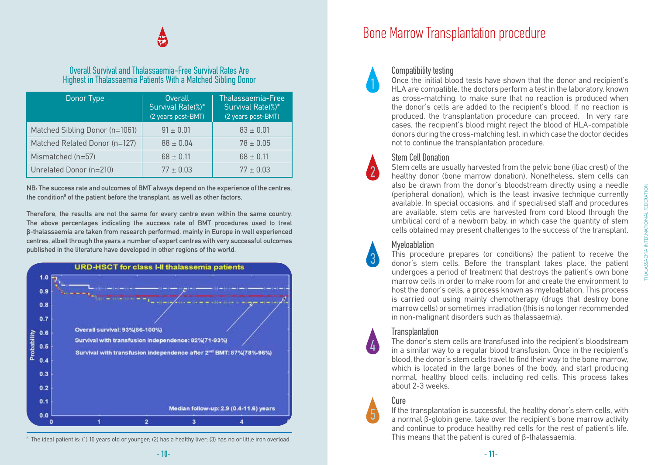## 無

#### Overall Survival and Thalassaemia-Free Survival Rates Are Highest in Thalassaemia Patients With a Matched Sibling Donor

| Donor Type                     | Overall<br>Survival Rate(%)*<br>(2 years post-BMT) | <b>Thalassaemia-Free</b><br>Survival Rate(%)*<br>(2 years post-BMT) |
|--------------------------------|----------------------------------------------------|---------------------------------------------------------------------|
| Matched Sibling Donor (n=1061) | $91 \pm 0.01$                                      | $83 \pm 0.01$                                                       |
| Matched Related Donor (n=127)  | $88 \pm 0.04$                                      | $78 \pm 0.05$                                                       |
| Mismatched $(n=57)$            | $68 \pm 0.11$                                      | $68 \pm 0.11$                                                       |
| Unrelated Donor (n=210)        | $77 \pm 0.03$                                      | $77 + 0.03$                                                         |

NB: The success rate and outcomes of BMT always depend on the experience of the centres, the condition<sup>8</sup> of the patient before the transplant, as well as other factors.

Therefore, the results are not the same for every centre even within the same country. The above percentages indicating the success rate of BMT procedures used to treat β-thalassaemia are taken from research performed, mainly in Europe in well experienced centres, albeit through the years a number of expert centres with very successful outcomes published in the literature have developed in other regions of the world.



<sup>&</sup>lt;sup>8</sup> The ideal patient is: (1) 16 years old or younger; (2) has a healthy liver; (3) has no or little iron overload.

### Bone Marrow Transplantation procedure



#### Compatibility testing

Once the initial blood tests have shown that the donor and recipient's HLA are compatible, the doctors perform a test in the laboratory, known as cross-matching, to make sure that no reaction is produced when the donor's cells are added to the recipient's blood. If no reaction is produced, the transplantation procedure can proceed. In very rare cases, the recipient's blood might reject the blood of HLA-compatible donors during the cross-matching test, in which case the doctor decides not to continue the transplantation procedure.



#### Stem Cell Donation

Stem cells are usually harvested from the pelvic bone (iliac crest) of the healthy donor (bone marrow donation). Nonetheless, stem cells can also be drawn from the donor's bloodstream directly using a needle (peripheral donation), which is the least invasive technique currently available. In special occasions, and if specialised staff and procedures are available, stem cells are harvested from cord blood through the umbilical cord of a newborn baby, in which case the quantity of stem cells obtained may present challenges to the success of the transplant.



#### Myeloablation

This procedure prepares (or conditions) the patient to receive the donor's stem cells. Before the transplant takes place, the patient undergoes a period of treatment that destroys the patient's own bone marrow cells in order to make room for and create the environment to host the donor's cells, a process known as myeloablation. This process is carried out using mainly chemotherapy (drugs that destroy bone marrow cells) or sometimes irradiation (this is no longer recommended in non-malignant disorders such as thalassaemia).

#### **Transplantation**

The donor's stem cells are transfused into the recipient's bloodstream in a similar way to a regular blood transfusion. Once in the recipient's blood, the donor's stem cells travel to find their way to the bone marrow, which is located in the large bones of the body, and start producing normal, healthy blood cells, including red cells. This process takes about 2-3 weeks.

#### Cure

5

4

If the transplantation is successful, the healthy donor's stem cells, with a normal β-globin gene, take over the recipient's bone marrow activity and continue to produce healthy red cells for the rest of patient's life. This means that the patient is cured of β-thalassaemia.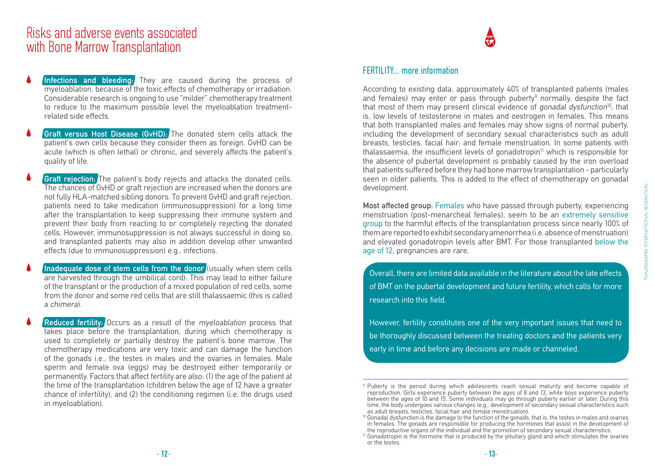### Risks and adverse events associated with Bone Marrow Transplantation

- Infections and bleeding: They are caused during the process of myeloablation, because of the toxic effects of chemotherapy or irradiation. Considerable research is ongoing to use "milder" chemotherapy treatment to reduce to the maximum possible level the myeloablation treatmentrelated side effects.
- **Graft versus Host Disease (GvHD):** The donated stem cells attack the patient's own cells because they consider them as foreign. GvHD can be acute (which is often lethal) or chronic, and severely affects the patient's quality of life.
- **Graft rejection:** The patient's body rejects and attacks the donated cells. The chances of GvHD or graft rejection are increased when the donors are not fully HLA-matched sibling donors. To prevent GvHD and graft rejection, patients need to take medication (immunosuppression) for a long time after the transplantation to keep suppressing their immune system and prevent their body from reacting to or completely rejecting the donated cells. However, immunosuppression is not always successful in doing so, and transplanted patients may also in addition develop other unwanted effects (due to immunosuppression) e.g., infections.
- Inadequate dose of stem cells from the donor (usually when stem cells are harvested through the umbilical cord): This may lead to either failure of the transplant or the production of a mixed population of red cells, some from the donor and some red cells that are still thalassaemic (this is called a chimera).

**Reduced fertility:** Occurs as a result of the myeloablation process that takes place before the transplantation, during which chemotherapy is used to completely or partially destroy the patient's bone marrow. The chemotherapy medications are very toxic and can damage the function of the gonads i.e., the testes in males and the ovaries in females. Male sperm and female ova (eggs) may be destroyed either temporarily or permanently. Factors that affect fertility are also: (1) the age of the patient at the time of the transplantation (children below the age of 12 have a greater chance of infertility), and (2) the conditioning regimen (i.e. the drugs used in myeloablation).

## 德

#### FERTILITY more information

According to existing data, approximately 40% of transplanted patients (males and females) may enter or pass through puberty<sup>9</sup> normally, despite the fact that most of them may present clinical evidence of gonadal dysfunction<sup>10</sup>; that is, low levels of testosterone in males and oestrogen in females. This means that both transplanted males and females may show signs of normal puberty, including the development of secondary sexual characteristics such as adult breasts, testicles, facial hair; and female menstruation. In some patients with thalassaemia, the insufficient levels of gonadotropin $11$  which is responsible for the absence of pubertal development is probably caused by the iron overload that patients suffered before they had bone marrow transplantation - particularly seen in older patients. This is added to the effect of chemotherapy on gonadal development.

Most affected group: Females who have passed through puberty, experiencing menstruation (post-menarcheal females), seem to be an extremely sensitive group to the harmful effects of the transplantation process since nearly 100% of them are reported to exhibit secondary amenorrhea (i.e. absence of menstruation) and elevated gonadotropin levels after BMT. For those transplanted below the age of 12, pregnancies are rare.

Overall, there are limited data available in the literature about the late effects of BMT on the pubertal development and future fertility, which calls for more research into this field.

However, fertility constitutes one of the very important issues that need to be thoroughly discussed between the treating doctors and the patients very early in time and before any decisions are made or channeled.

<sup>9</sup> Puberty is the period during which adolescents reach sexual maturity and become capable of reproduction. Girls experience puberty between the ages of 8 and 13, while boys experience puberty between the ages of 10 and 15. Some individuals may go through puberty earlier or later. During this time, the body undergoes various changes (e.g., development of secondary sexual characteristics such as adult breasts, testicles, facial hair and female menstruation).

<sup>&</sup>lt;sup>10</sup> Gonadal dysfunction is the damage to the function of the gonads; that is, the testes in males and ovaries in females. The gonads are responsible for producing the hormones that assist in the development of the reproductive organs of the individual and the promotion of secondary sexual characteristics.

<sup>11</sup> Gonadotropin is the hormone that is produced by the pituitary gland and which stimulates the ovaries or the testes.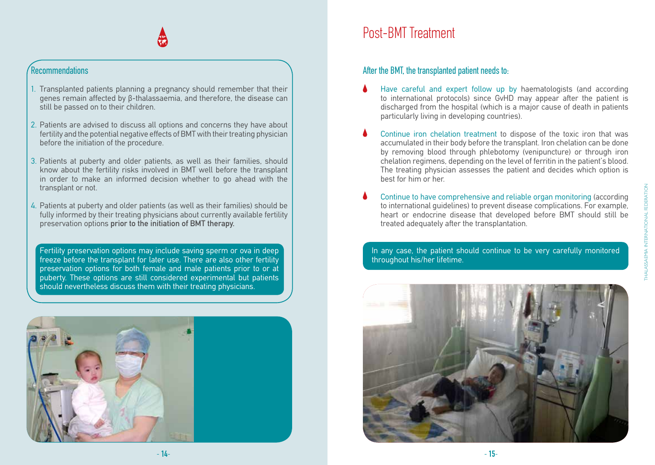#### Recommendations

- 1. Transplanted patients planning a pregnancy should remember that their genes remain affected by β-thalassaemia, and therefore, the disease can still be passed on to their children.
- 2. Patients are advised to discuss all options and concerns they have about fertility and the potential negative effects of BMT with their treating physician before the initiation of the procedure.
- 3. Patients at puberty and older patients, as well as their families, should know about the fertility risks involved in BMT well before the transplant in order to make an informed decision whether to go ahead with the transplant or not.
- 4. Patients at puberty and older patients (as well as their families) should be fully informed by their treating physicians about currently available fertility preservation options prior to the initiation of BMT therapy.

Fertility preservation options may include saving sperm or ova in deep freeze before the transplant for later use. There are also other fertility preservation options for both female and male patients prior to or at puberty. These options are still considered experimental but patients should nevertheless discuss them with their treating physicians.



### Post-BMT Treatment

After the BMT, the transplanted patient needs to:

- Have careful and expert follow up by haematologists (and according to international protocols) since GvHD may appear after the patient is discharged from the hospital (which is a major cause of death in patients particularly living in developing countries).
- Continue iron chelation treatment to dispose of the toxic iron that was accumulated in their body before the transplant. Iron chelation can be done by removing blood through phlebotomy (venipuncture) or through iron chelation regimens, depending on the level of ferritin in the patient's blood. The treating physician assesses the patient and decides which option is best for him or her.
- Continue to have comprehensive and reliable organ monitoring (according to international guidelines) to prevent disease complications. For example, heart or endocrine disease that developed before BMT should still be treated adequately after the transplantation.

In any case, the patient should continue to be very carefully monitored throughout his/her lifetime.

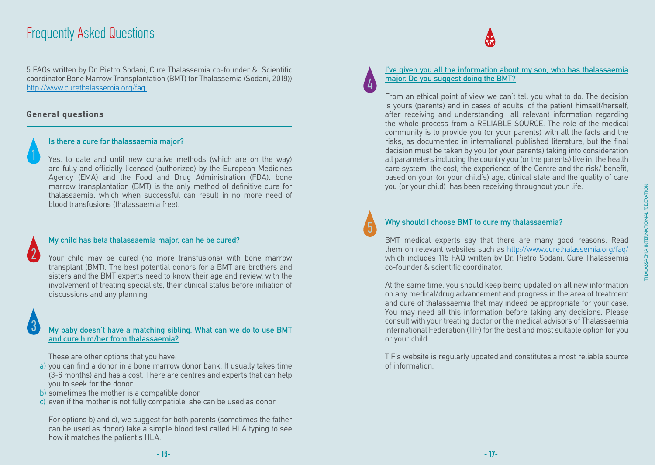### Frequently Asked Questions

5 FAQs written by Dr. Pietro Sodani, Cure Thalassemia co-founder & Scientific coordinator Bone Marrow Transplantation (BMT) for Thalassemia (Sodani, 2019)) http://www.curethalassemia.org/faq

#### **General questions**

3

2

#### Is there a cure for thalassaemia major?

Yes, to date and until new curative methods (which are on the way) are fully and officially licensed (authorized) by the European Medicines Agency (EMA) and the Food and Drug Administration (FDA), bone marrow transplantation (BMT) is the only method of definitive cure for thalassaemia, which when successful can result in no more need of blood transfusions (thalassaemia free).

#### My child has beta thalassaemia major, can he be cured?

Your child may be cured (no more transfusions) with bone marrow transplant (BMT). The best potential donors for a BMT are brothers and sisters and the BMT experts need to know their age and review, with the involvement of treating specialists, their clinical status before initiation of discussions and any planning.

#### My baby doesn't have a matching sibling. What can we do to use BMT and cure him/her from thalassaemia?

These are other options that you have:

- a) you can find a donor in a bone marrow donor bank. It usually takes time (3-6 months) and has a cost. There are centres and experts that can help you to seek for the donor
- b) sometimes the mother is a compatible donor
- c) even if the mother is not fully compatible, she can be used as donor

For options b) and c), we suggest for both parents (sometimes the father can be used as donor) take a simple blood test called HLA typing to see how it matches the patient's HLA.

# 4

#### I've given you all the information about my son, who has thalassaemia major. Do you suggest doing the BMT?

From an ethical point of view we can't tell you what to do. The decision is yours (parents) and in cases of adults, of the patient himself/herself, after receiving and understanding all relevant information regarding the whole process from a RELIABLE SOURCE. The role of the medical community is to provide you (or your parents) with all the facts and the risks, as documented in international published literature, but the final decision must be taken by you (or your parents) taking into consideration all parameters including the country you (or the parents) live in, the health care system, the cost, the experience of the Centre and the risk/ benefit, based on your (or your child's) age, clinical state and the quality of care you (or your child) has been receiving throughout your life.

5

#### Why should I choose BMT to cure my thalassaemia?

BMT medical experts say that there are many good reasons. Read them on relevant websites such as http://www.curethalassemia.org/faq/ which includes 115 FAQ written by Dr. Pietro Sodani, Cure Thalassemia co-founder & scientific coordinator.

At the same time, you should keep being updated on all new information on any medical/drug advancement and progress in the area of treatment and cure of thalassaemia that may indeed be appropriate for your case. You may need all this information before taking any decisions. Please consult with your treating doctor or the medical advisors of Thalassaemia International Federation (TIF) for the best and most suitable option for you or your child.

TIF's website is regularly updated and constitutes a most reliable source of information.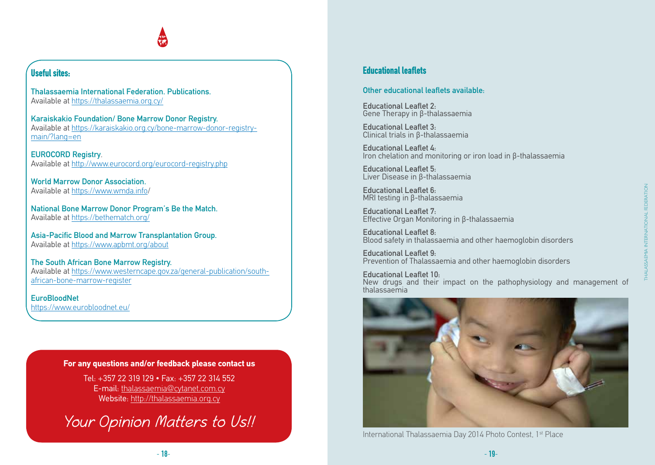### **Useful sites:**

Thalassaemia International Federation. Publications. Available at https://thalassaemia.org.cy/

Karaiskakio Foundation/ Bone Marrow Donor Registry. Available at https://karaiskakio.org.cy/bone-marrow-donor-registrymain/?lang=en

EUROCORD Registry. Available at http://www.eurocord.org/eurocord-registry.php

World Marrow Donor Association. Available at https://www.wmda.info/

National Bone Marrow Donor Program's Be the Match. Available at https://bethematch.org/

Asia-Pacific Blood and Marrow Transplantation Group. Available at https://www.apbmt.org/about

The South African Bone Marrow Registry. Available at https://www.westerncape.gov.za/general-publication/southafrican-bone-marrow-register

**EuroBloodNet** https://www.eurobloodnet.eu/

#### **For any questions and/or feedback please contact us**

Tel: +357 22 319 129 • Fax: +357 22 314 552 E-mail: thalassaemia@cytanet.com.cy Website: http://thalassaemia.org.cy

Your Opinion Matters to Us!!

#### **Educational leaflets**

#### Other educational leaflets available:

Educational Leaflet 2: Gene Therapy in β-thalassaemia

Educational Leaflet 3: Clinical trials in β-thalassaemia

Educational Leaflet 4: Iron chelation and monitoring or iron load in β-thalassaemia

Educational Leaflet 5: Liver Disease in β-thalassaemia

Educational Leaflet 6: MRI testing in β-thalassaemia

Educational Leaflet 7: Effective Organ Monitoring in β-thalassaemia

Educational Leaflet 8: Blood safety in thalassaemia and other haemoglobin disorders

Educational Leaflet 9: Prevention of Thalassaemia and other haemoglobin disorders

Educational Leaflet 10: New drugs and their impact on the pathophysiology and management of thalassaemia



International Thalassaemia Day 2014 Photo Contest, 1<sup>st</sup> Place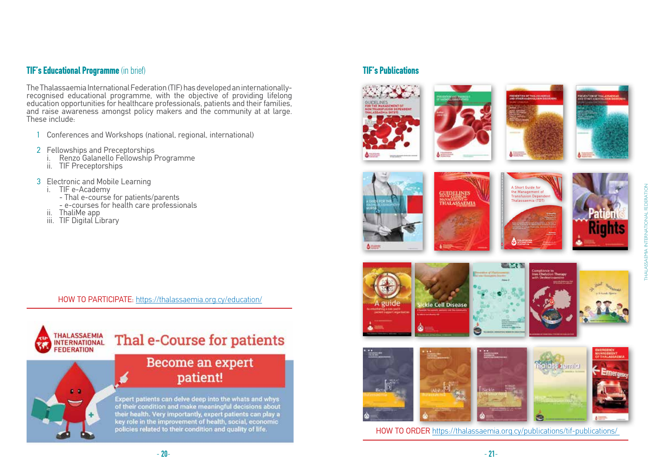### **TIF's Educational Programme** (in brief)

The Thalassaemia International Federation (TIF) has developed an internationallyrecognised educational programme, with the objective of providing lifelong education opportunities for healthcare professionals, patients and their families, and raise awareness amongst policy makers and the community at at large. These include:

- 1 Conferences and Workshops (national, regional, international)
- 
- <sup>2</sup> Fellowships and Preceptorships i. Renzo Galanello Fellowship Programme ii. TIF Preceptorships
	-
- - -
- 3 Electronic and Mobile Learning<br>i. TIF e-Academy<br>- Thal e-course for patients/parents<br>- e-courses for health care professionals<br>ii. ThaliMe app<br>iii. TIF Digital Library
	-
	-

HOW TO PARTICIPATE: https://thalassaemia.org.cy/education/



#### **TIF's Publications**

























HOW TO ORDER https://thalassaemia.org.cy/publications/tif-publications/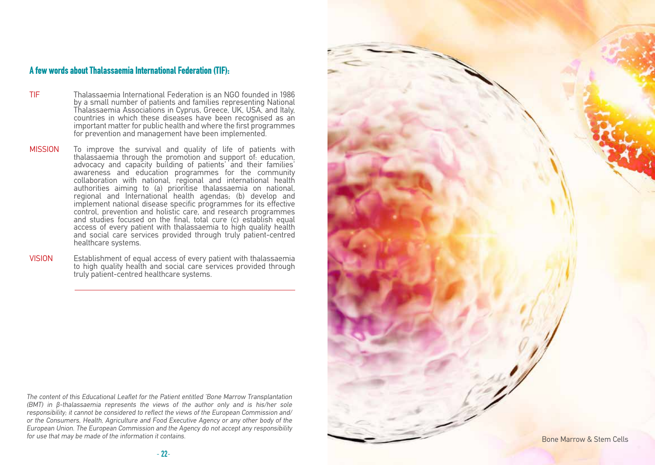#### **A few words about Thalassaemia International Federation (TIF):**

- TIF Thalassaemia International Federation is an NGO founded in 1986 by a small number of patients and families representing National Thalassaemia Associations in Cyprus, Greece, UK, USA, and Italy, countries in which these diseases have been recognised as an important matter for public health and where the first programmes for prevention and management have been implemented.
- MISSION To improve the survival and quality of life of patients with thalassaemia through the promotion and support of: education, advocacy and capacity building of patients' and their families' awareness and education programmes for the community collaboration with national, regional and international health authorities aiming to (a) prioritise thalassaemia on national, regional and International health agendas; (b) develop and implement national disease specific programmes for its effective control, prevention and holistic care, and research programmes and studies focused on the final, total cure (c) establish equal access of every patient with thalassaemia to high quality health and social care services provided through truly patient-centred healthcare systems.
- VISION Establishment of equal access of every patient with thalassaemia to high quality health and social care services provided through truly patient-centred healthcare systems.

The content of this Educational Leaflet for the Patient entitled 'Bone Marrow Transplantation (BMT) in β-thalassaemia represents the views of the author only and is his/her sole responsibility; it cannot be considered to reflect the views of the European Commission and/ or the Consumers, Health, Agriculture and Food Executive Agency or any other body of the European Union. The European Commission and the Agency do not accept any responsibility